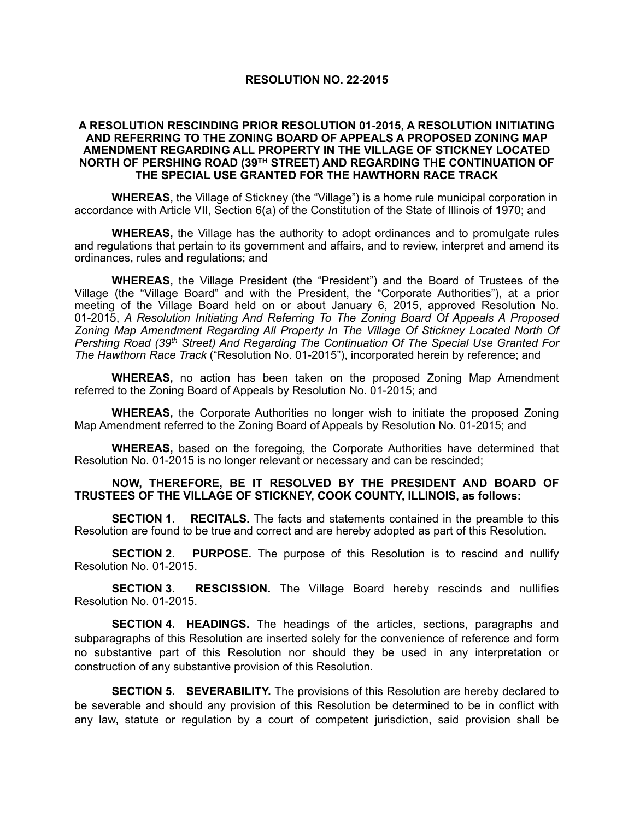## **RESOLUTION NO. 22-2015**

## **A RESOLUTION RESCINDING PRIOR RESOLUTION 01-2015, A RESOLUTION INITIATING AND REFERRING TO THE ZONING BOARD OF APPEALS A PROPOSED ZONING MAP AMENDMENT REGARDING ALL PROPERTY IN THE VILLAGE OF STICKNEY LOCATED NORTH OF PERSHING ROAD (39TH STREET) AND REGARDING THE CONTINUATION OF THE SPECIAL USE GRANTED FOR THE HAWTHORN RACE TRACK**

**WHEREAS,** the Village of Stickney (the "Village") is a home rule municipal corporation in accordance with Article VII, Section 6(a) of the Constitution of the State of Illinois of 1970; and

**WHEREAS,** the Village has the authority to adopt ordinances and to promulgate rules and regulations that pertain to its government and affairs, and to review, interpret and amend its ordinances, rules and regulations; and

**WHEREAS,** the Village President (the "President") and the Board of Trustees of the Village (the "Village Board" and with the President, the "Corporate Authorities"), at a prior meeting of the Village Board held on or about January 6, 2015, approved Resolution No. 01-2015, *A Resolution Initiating And Referring To The Zoning Board Of Appeals A Proposed Zoning Map Amendment Regarding All Property In The Village Of Stickney Located North Of Pershing Road (39th Street) And Regarding The Continuation Of The Special Use Granted For The Hawthorn Race Track* ("Resolution No. 01-2015"), incorporated herein by reference; and

**WHEREAS,** no action has been taken on the proposed Zoning Map Amendment referred to the Zoning Board of Appeals by Resolution No. 01-2015; and

**WHEREAS,** the Corporate Authorities no longer wish to initiate the proposed Zoning Map Amendment referred to the Zoning Board of Appeals by Resolution No. 01-2015; and

**WHEREAS,** based on the foregoing, the Corporate Authorities have determined that Resolution No. 01-2015 is no longer relevant or necessary and can be rescinded;

## **NOW, THEREFORE, BE IT RESOLVED BY THE PRESIDENT AND BOARD OF TRUSTEES OF THE VILLAGE OF STICKNEY, COOK COUNTY, ILLINOIS, as follows:**

**SECTION 1.** RECITALS. The facts and statements contained in the preamble to this Resolution are found to be true and correct and are hereby adopted as part of this Resolution.

**SECTION 2. PURPOSE.** The purpose of this Resolution is to rescind and nullify Resolution No. 01-2015.

**SECTION 3. RESCISSION.** The Village Board hereby rescinds and nullifies Resolution No. 01-2015.

**SECTION 4. HEADINGS.** The headings of the articles, sections, paragraphs and subparagraphs of this Resolution are inserted solely for the convenience of reference and form no substantive part of this Resolution nor should they be used in any interpretation or construction of any substantive provision of this Resolution.

**SECTION 5. SEVERABILITY.** The provisions of this Resolution are hereby declared to be severable and should any provision of this Resolution be determined to be in conflict with any law, statute or regulation by a court of competent jurisdiction, said provision shall be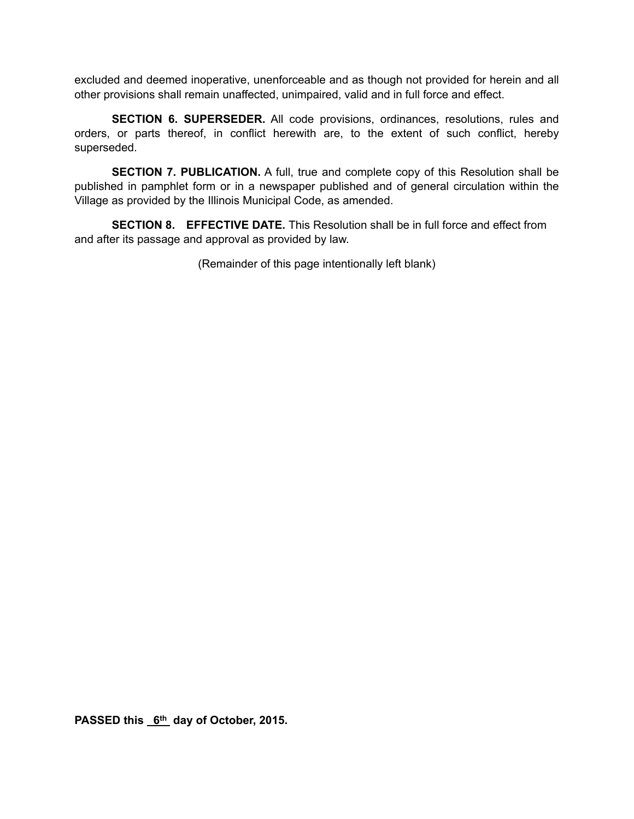excluded and deemed inoperative, unenforceable and as though not provided for herein and all other provisions shall remain unaffected, unimpaired, valid and in full force and effect.

**SECTION 6. SUPERSEDER.** All code provisions, ordinances, resolutions, rules and orders, or parts thereof, in conflict herewith are, to the extent of such conflict, hereby superseded.

**SECTION 7. PUBLICATION.** A full, true and complete copy of this Resolution shall be published in pamphlet form or in a newspaper published and of general circulation within the Village as provided by the Illinois Municipal Code, as amended.

**SECTION 8. EFFECTIVE DATE.** This Resolution shall be in full force and effect from and after its passage and approval as provided by law.

(Remainder of this page intentionally left blank)

PASSED this 6<sup>th</sup> day of October, 2015.